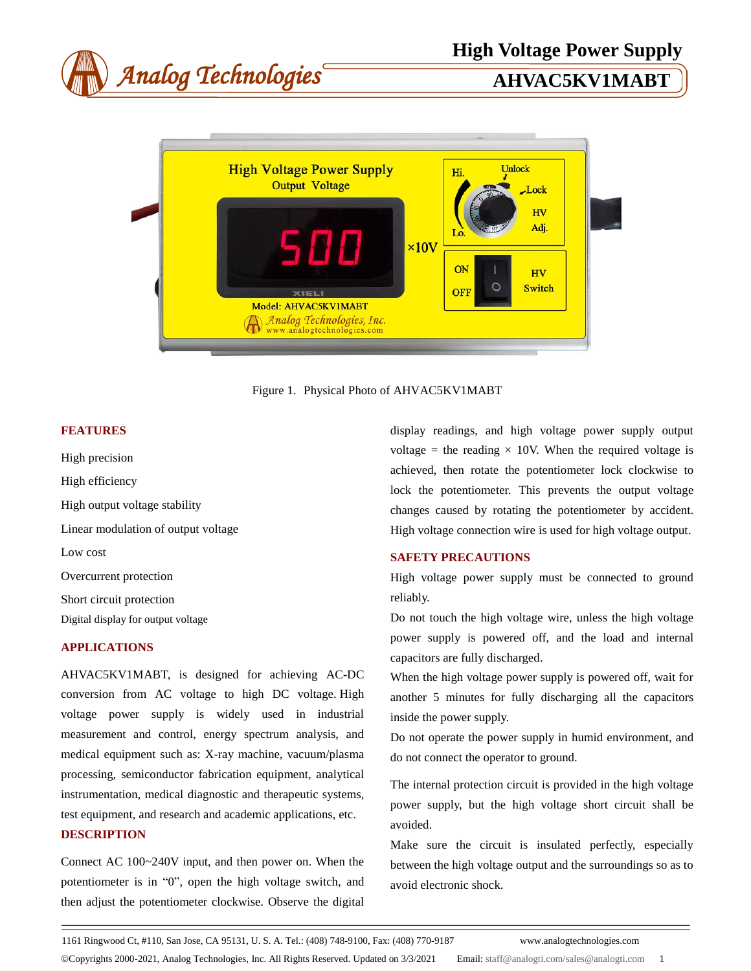

Figure 1. Physical Photo of AHVAC5KV1MABT

# **FEATURES**

High precision High efficiency High output voltage stability Linear modulation of output voltage Low cost Overcurrent protection Short circuit protection Digital display for output voltage

# **APPLICATIONS**

AHVAC5KV1MABT, is designed for achieving AC-DC conversion from AC voltage to high DC voltage. High voltage power supply is widely used in industrial measurement and control, energy spectrum analysis, and medical equipment such as: X-ray machine, vacuum/plasma processing, semiconductor fabrication equipment, analytical instrumentation, medical diagnostic and therapeutic systems, test equipment, and research and academic applications, etc. **DESCRIPTION**

Connect AC 100~240V input, and then power on. When the potentiometer is in "0", open the high voltage switch, and then adjust the potentiometer clockwise. Observe the digital display readings, and high voltage power supply output voltage = the reading  $\times$  10V. When the required voltage is achieved, then rotate the potentiometer lock clockwise to lock the potentiometer. This prevents the output voltage changes caused by rotating the potentiometer by accident. High voltage connection wire is used for high voltage output.

### **SAFETY PRECAUTIONS**

High voltage power supply must be connected to ground reliably.

Do not touch the high voltage wire, unless the high voltage power supply is powered off, and the load and internal capacitors are fully discharged.

When the high voltage power supply is powered off, wait for another 5 minutes for fully discharging all the capacitors inside the power supply.

Do not operate the power supply in humid environment, and do not connect the operator to ground.

The internal protection circuit is provided in the high voltage power supply, but the high voltage short circuit shall be avoided.

Make sure the circuit is insulated perfectly, especially between the high voltage output and the surroundings so as to avoid electronic shock.

1161 Ringwood Ct, #110, San Jose, CA 95131, U. S. A. Tel.: (408) 748-9100, Fax: (408) 770-9187 www.analogtechnologies.com

©Copyrights 2000-2021, Analog Technologies, Inc. All Rights Reserved. Updated on 3/3/2021 Email: [staff@analogti.com/sales@analogti.com](mailto:staff@analogti.com/sales@analogti.com) 1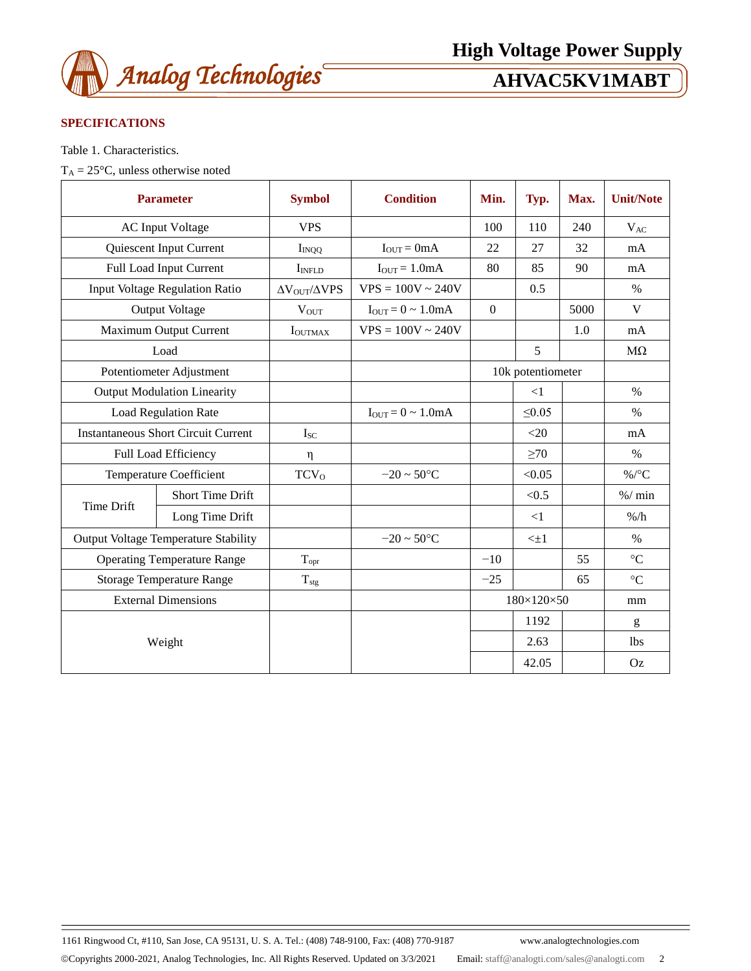

# **SPECIFICATIONS**

Table 1. Characteristics.

 $T_A = 25 \text{ °C}$ , unless otherwise noted

| <b>Parameter</b>                            |                                | <b>Symbol</b>               | <b>Condition</b>          | Min.                   | Typ.         | Max. | <b>Unit/Note</b> |
|---------------------------------------------|--------------------------------|-----------------------------|---------------------------|------------------------|--------------|------|------------------|
|                                             | <b>AC Input Voltage</b>        | <b>VPS</b>                  |                           | 100                    | 110          | 240  | $V_{AC}$         |
|                                             | Quiescent Input Current        | $I_{INQQ}$                  | $I_{OUT} = 0mA$           | 22                     | 27           | 32   | mA               |
|                                             | Full Load Input Current        | I <sub>INFLD</sub>          | $I_{OUT} = 1.0mA$         | 80                     | 85           | 90   | mA               |
|                                             | Input Voltage Regulation Ratio | $\Delta V_{OUT}/\Delta VPS$ | $VPS = 100V \sim 240V$    |                        | 0.5          |      | $\%$             |
|                                             | Output Voltage                 | $V_{OUT}$                   | $I_{OUT} = 0 \sim 1.0 mA$ | $\boldsymbol{0}$       |              | 5000 | V                |
| Maximum Output Current                      |                                | <b>I</b> OUTMAX             | $VPS = 100V \approx 240V$ |                        |              | 1.0  | mA               |
| Load                                        |                                |                             |                           |                        | 5            |      | $M\Omega$        |
| Potentiometer Adjustment                    |                                |                             |                           | 10k potentiometer      |              |      |                  |
| <b>Output Modulation Linearity</b>          |                                |                             |                           |                        | $\leq$ 1     |      | $\frac{0}{0}$    |
| <b>Load Regulation Rate</b>                 |                                |                             | $I_{OUT} = 0 \sim 1.0 mA$ |                        | $\leq 0.05$  |      | $\frac{0}{0}$    |
| <b>Instantaneous Short Circuit Current</b>  |                                | $I_{SC}$                    |                           |                        | <20          |      | mA               |
| Full Load Efficiency                        |                                | η                           |                           |                        | $\geq 70$    |      | $\%$             |
| <b>Temperature Coefficient</b>              |                                | <b>TCV</b> <sub>0</sub>     | $-20 \sim 50^{\circ}C$    |                        | < 0.05       |      | $\%$ /°C         |
| <b>Time Drift</b>                           | <b>Short Time Drift</b>        |                             |                           |                        | < 0.5        |      | % / min          |
|                                             | Long Time Drift                |                             |                           |                        | $\leq$ 1     |      | $\%$ /h          |
| <b>Output Voltage Temperature Stability</b> |                                |                             | $-20 \sim 50^{\circ}C$    |                        | $\leq \pm 1$ |      | $\%$             |
| <b>Operating Temperature Range</b>          |                                | $T_{\text{opr}}$            |                           | $-10$                  |              | 55   | $\rm ^{\circ}C$  |
| <b>Storage Temperature Range</b>            |                                | $T_{\rm stg}$               |                           | $-25$                  |              | 65   | $\rm ^{\circ}C$  |
| <b>External Dimensions</b>                  |                                |                             |                           | $180\times120\times50$ |              | mm   |                  |
| Weight                                      |                                |                             |                           |                        | 1192         |      | g                |
|                                             |                                |                             |                           |                        | 2.63         |      | <b>lbs</b>       |
|                                             |                                |                             |                           |                        | 42.05        |      | Oz               |

1161 Ringwood Ct, #110, San Jose, CA 95131, U. S. A. Tel.: (408) 748-9100, Fax: (408) 770-9187 www.analogtechnologies.com

Copyrights 2000-2021, Analog Technologies, Inc. All Rights Reserved. Updated on 3/3/2021 Email: [staff@analogti.com/sales@analogti.com](mailto:staff@analogti.com/sales@analogti.com) 2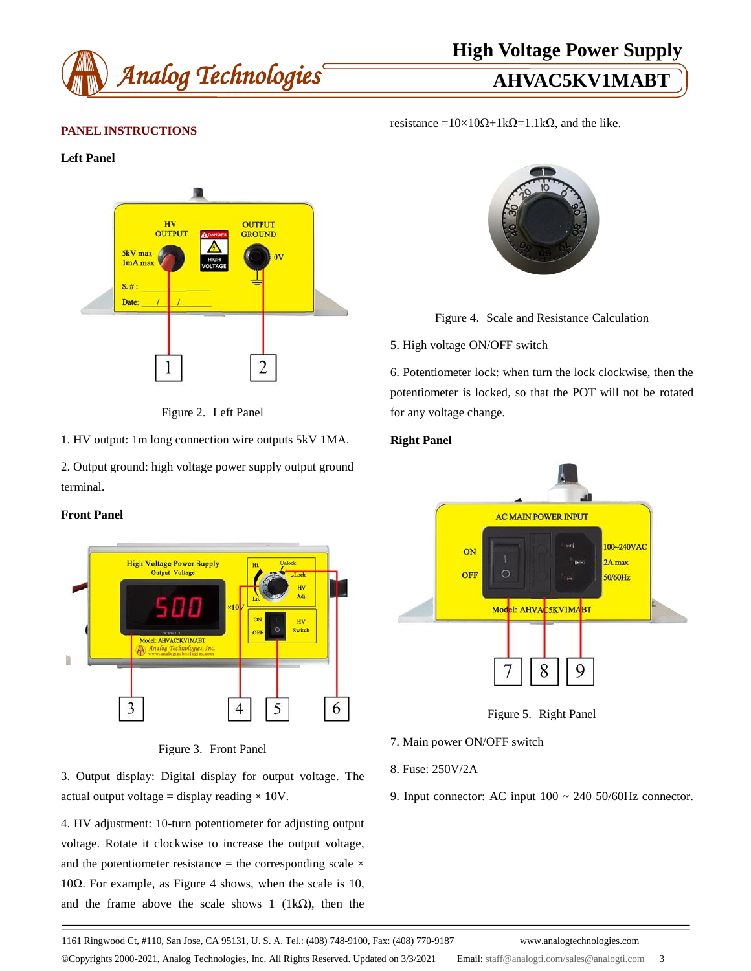

resistance =10×10 $\Omega$ +1k $\Omega$ =1.1k $\Omega$ , and the like.

# **PANEL INSTRUCTIONS**

#### **Left Panel**





1. HV output: 1m long connection wire outputs 5kV 1MA.

2. Output ground: high voltage power supply output ground terminal.

## **Front Panel**



# Figure 3. Front Panel

3. Output display: Digital display for output voltage. The actual output voltage = display reading  $\times 10V$ .

4. HV adjustment: 10-turn potentiometer for adjusting output voltage. Rotate it clockwise to increase the output voltage, and the potentiometer resistance = the corresponding scale  $\times$ 10Ω. For example, as Figure 4 shows, when the scale is 10, and the frame above the scale shows 1 (1k $\Omega$ ), then the



Figure 4. Scale and Resistance Calculation

### 5. High voltage ON/OFF switch

6. Potentiometer lock: when turn the lock clockwise, then the potentiometer is locked, so that the POT will not be rotated for any voltage change.

### **Right Panel**



Figure 5. Right Panel

- 7. Main power ON/OFF switch
- 8. Fuse: 250V/2A
- 9. Input connector: AC input 100 ~ 240 50/60Hz connector.

1161 Ringwood Ct, #110, San Jose, CA 95131, U. S. A. Tel.: (408) 748-9100, Fax: (408) 770-9187 www.analogtechnologies.com

Copyrights 2000-2021, Analog Technologies, Inc. All Rights Reserved. Updated on 3/3/2021 Email: [staff@analogti.com/sales@analogti.com](mailto:staff@analogti.com/sales@analogti.com) 3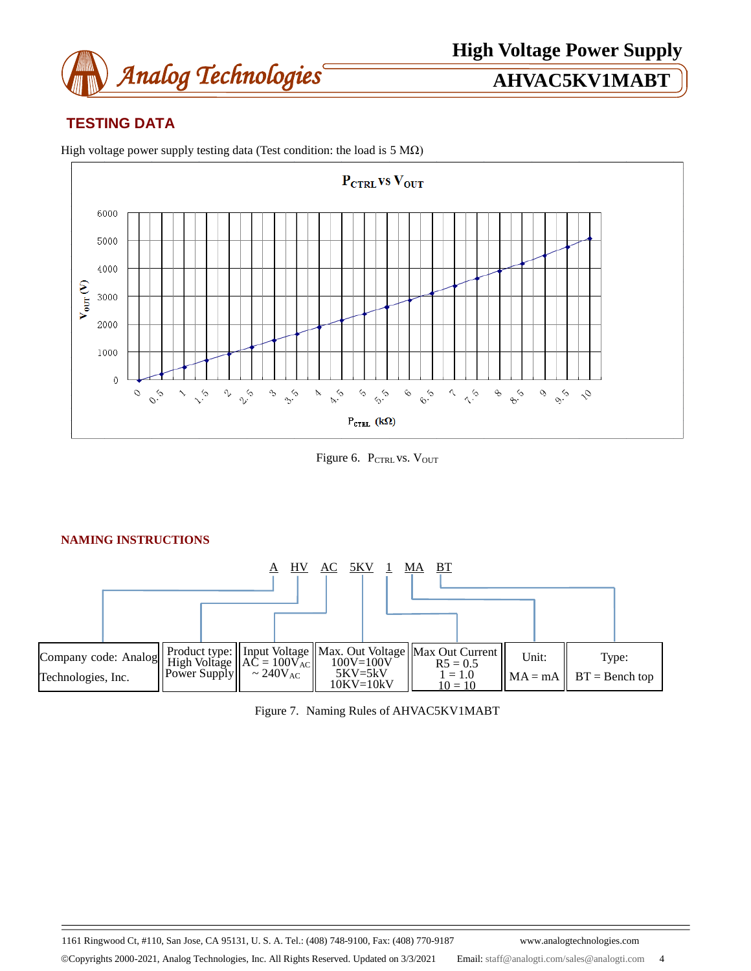

# **TESTING DATA**



High voltage power supply testing data (Test condition: the load is  $5 MΩ$ )

Figure 6. PCTRL VS. VOUT

#### A HV AC 5KV 1 MA BT Input Voltage  $AC = 100V_{AC}$  $\sim 240V_{AC}$ Type:  $BT = \text{Bench top}$ Max. Out Voltage 100V=100V 5KV=5kV 10KV=10kV Company code: Analog Technologies, Inc. Product type: High Voltage Power Supply Max Out Current  $R5 = 0.5$  $1 = 1.0$  $10 = 10$ Unit:  $MA = mA$

| Figure 7. Naming Rules of AHVAC5KV1MABT |  |  |  |
|-----------------------------------------|--|--|--|
|                                         |  |  |  |

1161 Ringwood Ct, #110, San Jose, CA 95131, U. S. A. Tel.: (408) 748-9100, Fax: (408) 770-9187 www.analogtechnologies.com

Copyrights 2000-2021, Analog Technologies, Inc. All Rights Reserved. Updated on 3/3/2021 Email: [staff@analogti.com/sales@analogti.com](mailto:staff@analogti.com/sales@analogti.com) 4

# **NAMING INSTRUCTIONS**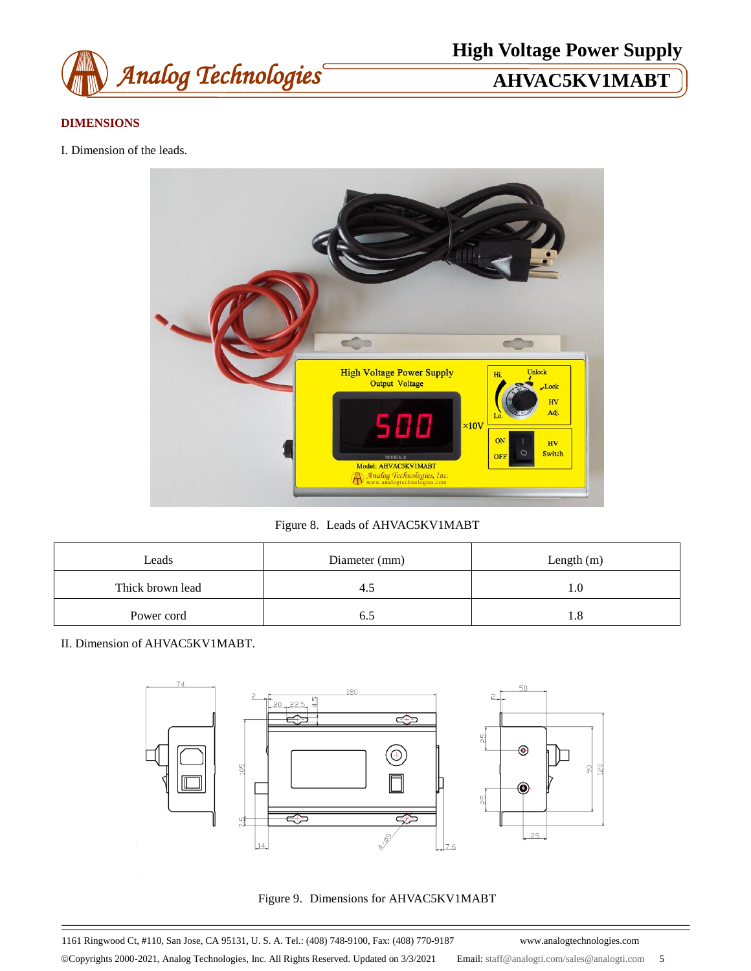

# **DIMENSIONS**

I. Dimension of the leads.



Figure 8. Leads of AHVAC5KV1MABT

| Leads            | Diameter (mm) | Length $(m)$ |  |  |
|------------------|---------------|--------------|--|--|
| Thick brown lead |               | 1.0          |  |  |
| Power cord       |               | 1.8          |  |  |

II. Dimension of AHVAC5KV1MABT.



Figure 9. Dimensions for AHVAC5KV1MABT